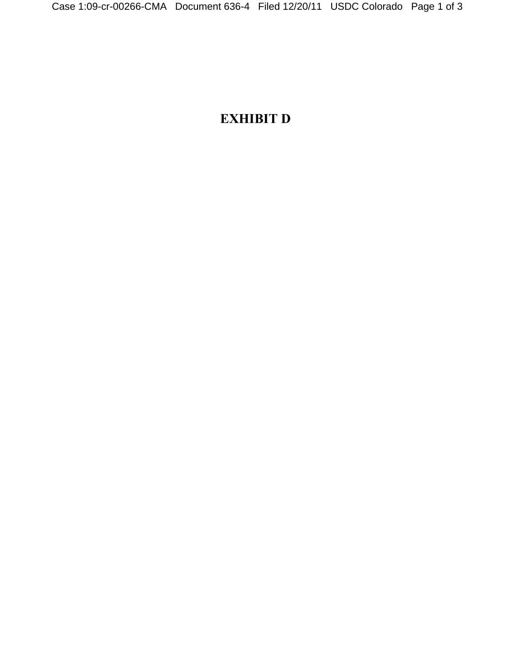## **EXHIBIT D**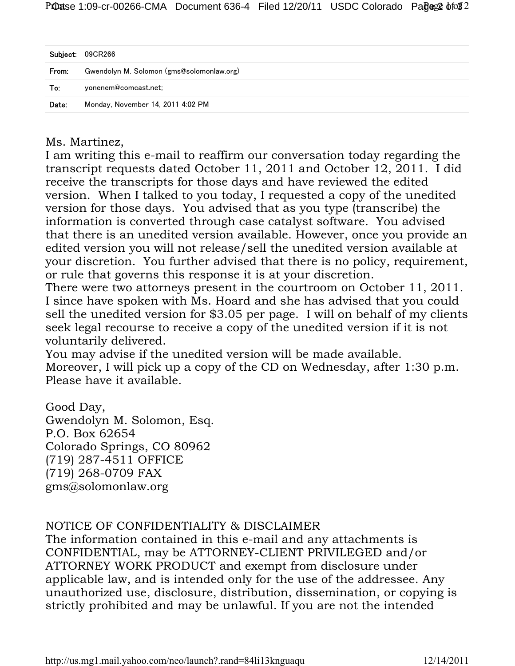| Subject: | 09CR266                                   |
|----------|-------------------------------------------|
| From:    | Gwendolyn M. Solomon (gms@solomonlaw.org) |
| To:      | yonenem@comcast.net;                      |
| Date:    | Monday, November 14, 2011 4:02 PM         |

Ms. Martinez,

I am writing this e-mail to reaffirm our conversation today regarding the transcript requests dated October 11, 2011 and October 12, 2011. I did receive the transcripts for those days and have reviewed the edited version. When I talked to you today, I requested a copy of the unedited version for those days. You advised that as you type (transcribe) the information is converted through case catalyst software. You advised that there is an unedited version available. However, once you provide an edited version you will not release/sell the unedited version available at your discretion. You further advised that there is no policy, requirement, or rule that governs this response it is at your discretion.

There were two attorneys present in the courtroom on October 11, 2011. I since have spoken with Ms. Hoard and she has advised that you could sell the unedited version for \$3.05 per page. I will on behalf of my clients seek legal recourse to receive a copy of the unedited version if it is not voluntarily delivered.

You may advise if the unedited version will be made available. Moreover, I will pick up a copy of the CD on Wednesday, after 1:30 p.m. Please have it available.

Good Day, Gwendolyn M. Solomon, Esq. P.O. Box 62654 Colorado Springs, CO 80962 (719) 287-4511 OFFICE (719) 268-0709 FAX gms@solomonlaw.org

## NOTICE OF CONFIDENTIALITY & DISCLAIMER

The information contained in this e-mail and any attachments is CONFIDENTIAL, may be ATTORNEY-CLIENT PRIVILEGED and/or ATTORNEY WORK PRODUCT and exempt from disclosure under applicable law, and is intended only for the use of the addressee. Any unauthorized use, disclosure, distribution, dissemination, or copying is strictly prohibited and may be unlawful. If you are not the intended